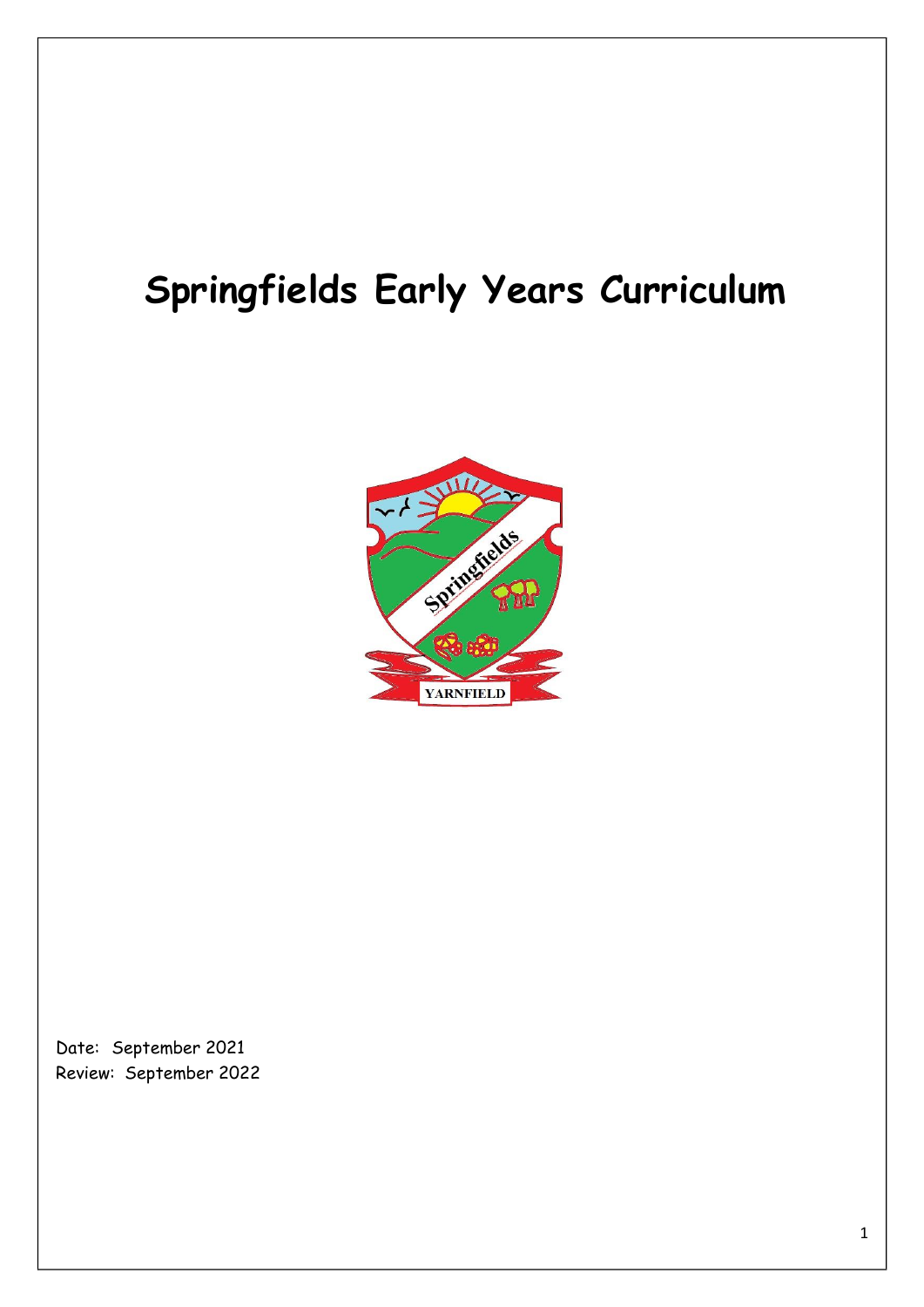# **Springfields Early Years Curriculum**



Date: September 2021 Review: September 2022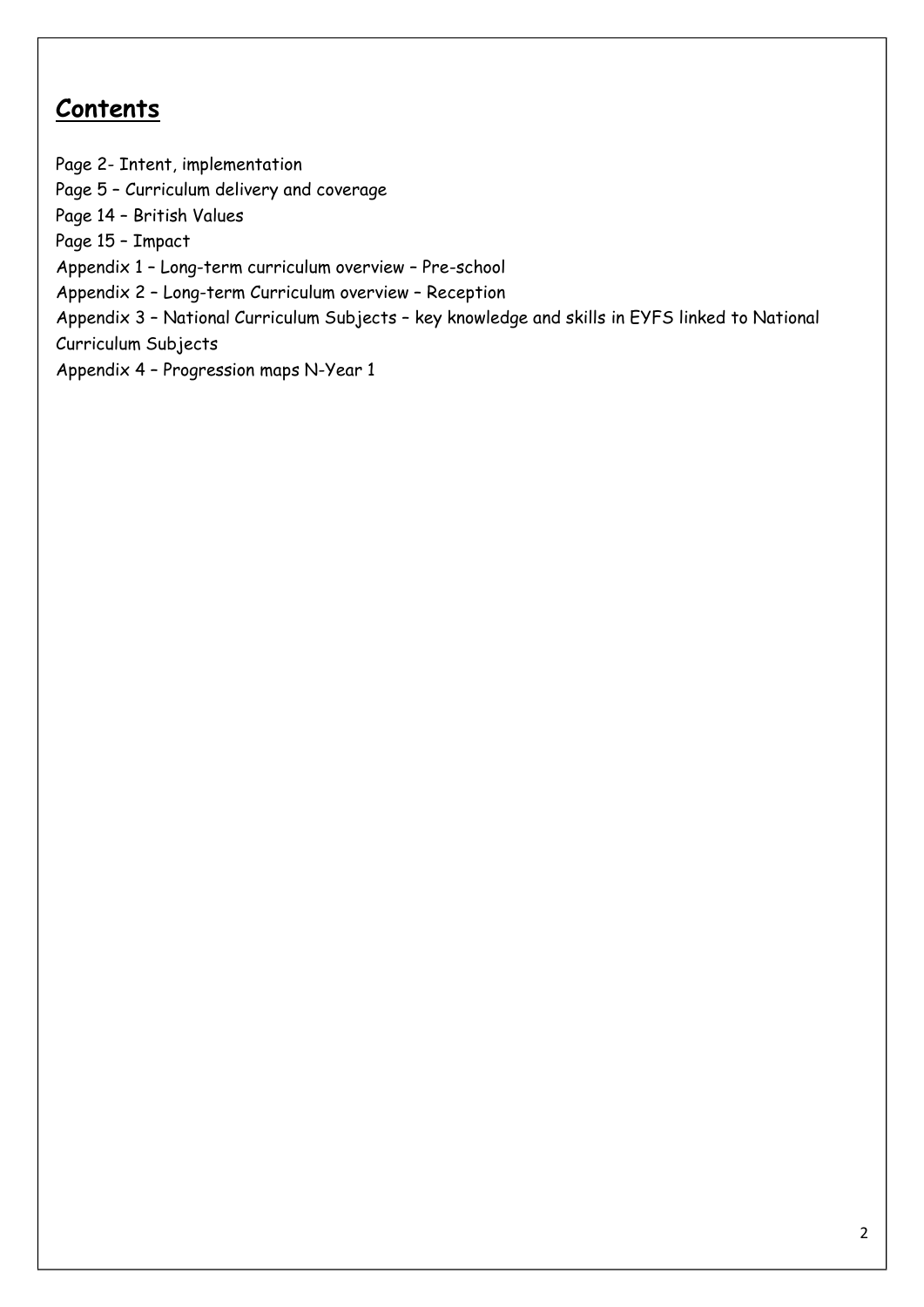# **Contents**

Page 2- Intent, implementation Page 5 – Curriculum delivery and coverage Page 14 – British Values Page 15 – Impact Appendix 1 – Long-term curriculum overview – Pre-school Appendix 2 – Long-term Curriculum overview – Reception Appendix 3 – National Curriculum Subjects – key knowledge and skills in EYFS linked to National Curriculum Subjects Appendix 4 – Progression maps N-Year 1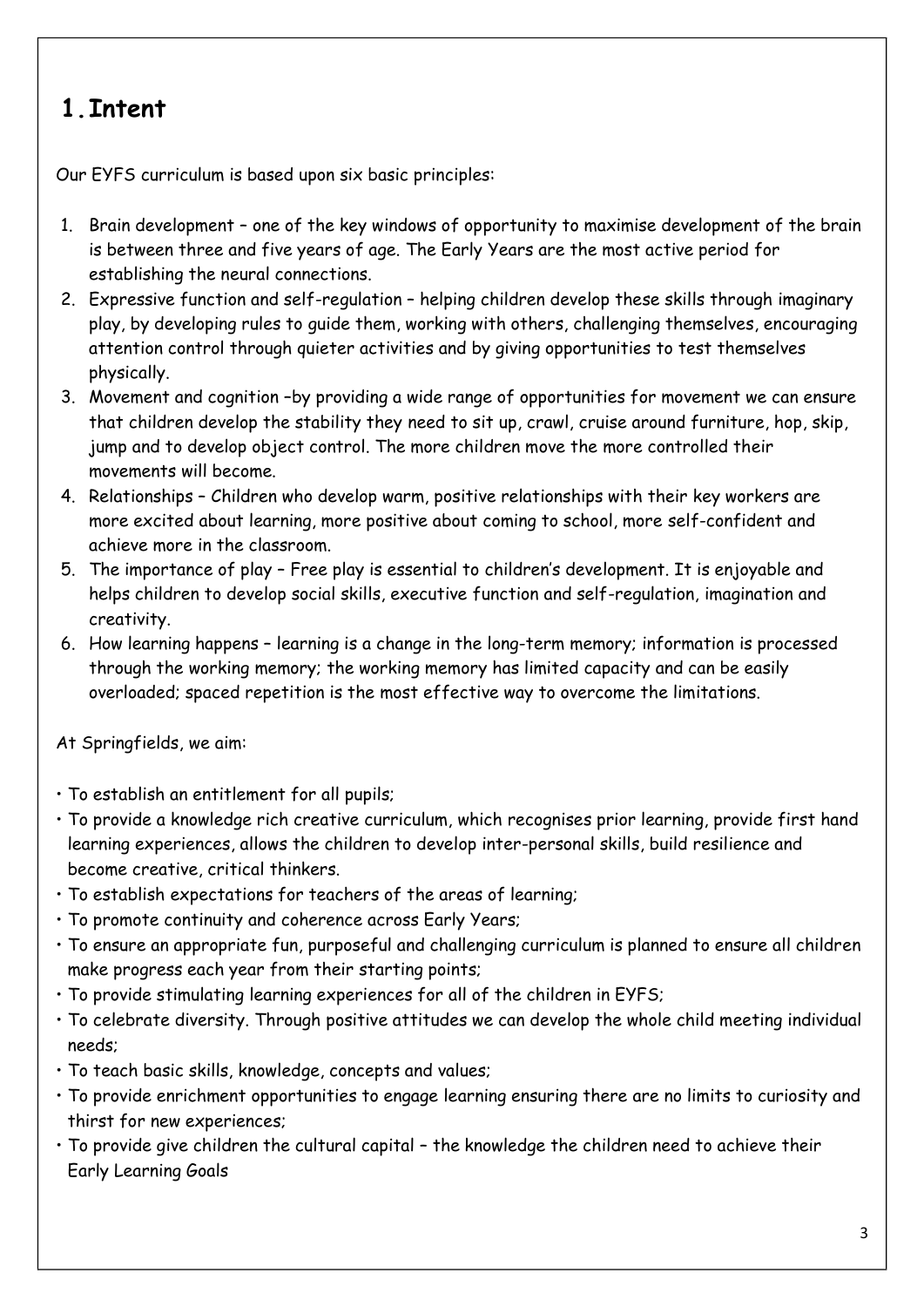# **1.Intent**

Our EYFS curriculum is based upon six basic principles:

- 1. Brain development one of the key windows of opportunity to maximise development of the brain is between three and five years of age. The Early Years are the most active period for establishing the neural connections.
- 2. Expressive function and self-regulation helping children develop these skills through imaginary play, by developing rules to guide them, working with others, challenging themselves, encouraging attention control through quieter activities and by giving opportunities to test themselves physically.
- 3. Movement and cognition –by providing a wide range of opportunities for movement we can ensure that children develop the stability they need to sit up, crawl, cruise around furniture, hop, skip, jump and to develop object control. The more children move the more controlled their movements will become.
- 4. Relationships Children who develop warm, positive relationships with their key workers are more excited about learning, more positive about coming to school, more self-confident and achieve more in the classroom.
- 5. The importance of play Free play is essential to children's development. It is enjoyable and helps children to develop social skills, executive function and self-regulation, imagination and creativity.
- 6. How learning happens learning is a change in the long-term memory; information is processed through the working memory; the working memory has limited capacity and can be easily overloaded; spaced repetition is the most effective way to overcome the limitations.

At Springfields, we aim:

- To establish an entitlement for all pupils;
- To provide a knowledge rich creative curriculum, which recognises prior learning, provide first hand learning experiences, allows the children to develop inter-personal skills, build resilience and become creative, critical thinkers.
- To establish expectations for teachers of the areas of learning;
- To promote continuity and coherence across Early Years;
- To ensure an appropriate fun, purposeful and challenging curriculum is planned to ensure all children make progress each year from their starting points;
- To provide stimulating learning experiences for all of the children in EYFS;
- To celebrate diversity. Through positive attitudes we can develop the whole child meeting individual needs;
- To teach basic skills, knowledge, concepts and values;
- To provide enrichment opportunities to engage learning ensuring there are no limits to curiosity and thirst for new experiences;
- To provide give children the cultural capital the knowledge the children need to achieve their Early Learning Goals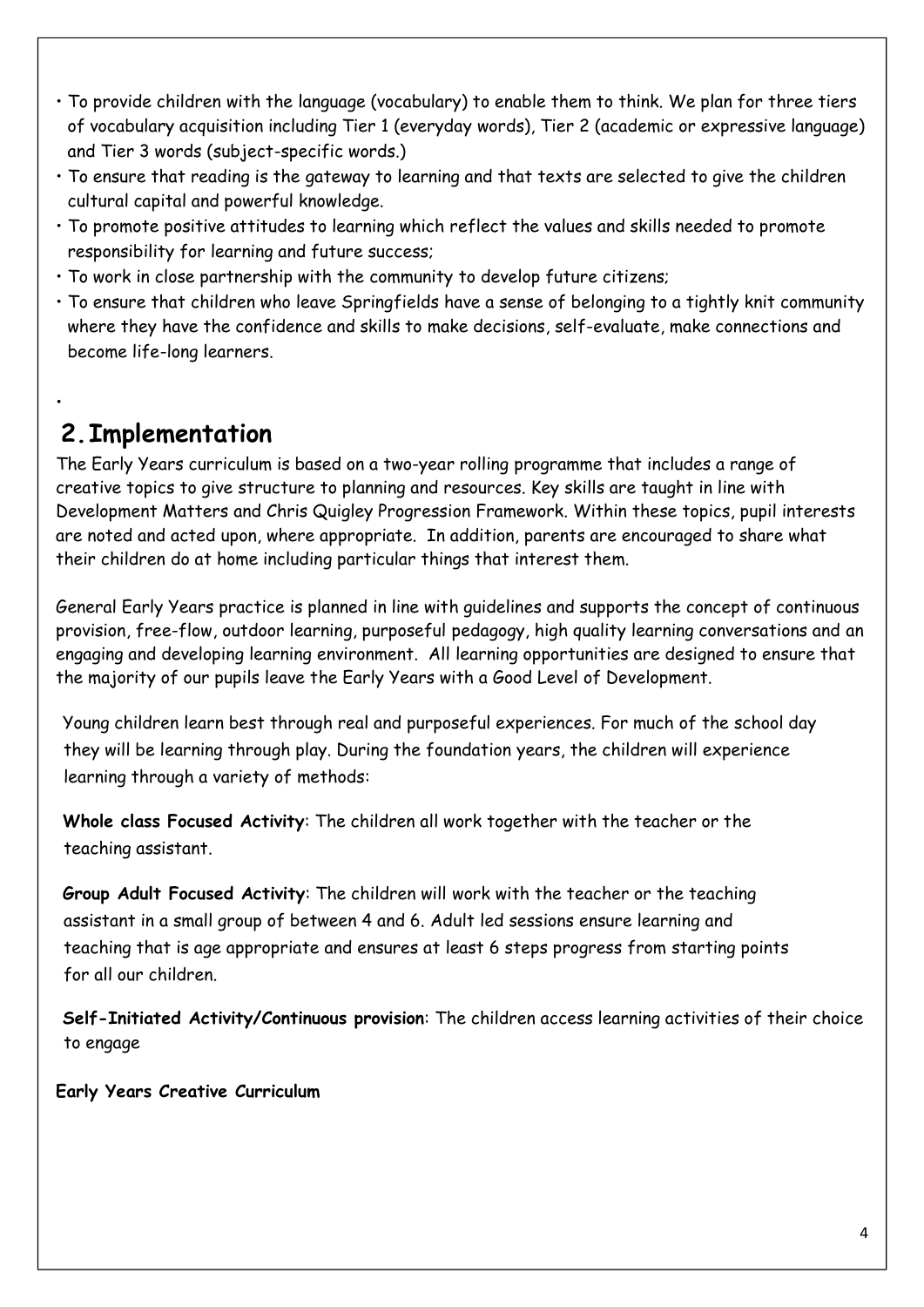- To provide children with the language (vocabulary) to enable them to think. We plan for three tiers of vocabulary acquisition including Tier 1 (everyday words), Tier 2 (academic or expressive language) and Tier 3 words (subject-specific words.)
- To ensure that reading is the gateway to learning and that texts are selected to give the children cultural capital and powerful knowledge.
- To promote positive attitudes to learning which reflect the values and skills needed to promote responsibility for learning and future success;
- To work in close partnership with the community to develop future citizens;
- To ensure that children who leave Springfields have a sense of belonging to a tightly knit community where they have the confidence and skills to make decisions, self-evaluate, make connections and become life-long learners.

# **2.Implementation**

•

The Early Years curriculum is based on a two-year rolling programme that includes a range of creative topics to give structure to planning and resources. Key skills are taught in line with Development Matters and Chris Quigley Progression Framework. Within these topics, pupil interests are noted and acted upon, where appropriate. In addition, parents are encouraged to share what their children do at home including particular things that interest them.

General Early Years practice is planned in line with guidelines and supports the concept of continuous provision, free-flow, outdoor learning, purposeful pedagogy, high quality learning conversations and an engaging and developing learning environment. All learning opportunities are designed to ensure that the majority of our pupils leave the Early Years with a Good Level of Development.

Young children learn best through real and purposeful experiences. For much of the school day they will be learning through play. During the foundation years, the children will experience learning through a variety of methods:

**Whole class Focused Activity**: The children all work together with the teacher or the teaching assistant.

**Group Adult Focused Activity**: The children will work with the teacher or the teaching assistant in a small group of between 4 and 6. Adult led sessions ensure learning and teaching that is age appropriate and ensures at least 6 steps progress from starting points for all our children.

**Self-Initiated Activity/Continuous provision**: The children access learning activities of their choice to engage

**Early Years Creative Curriculum**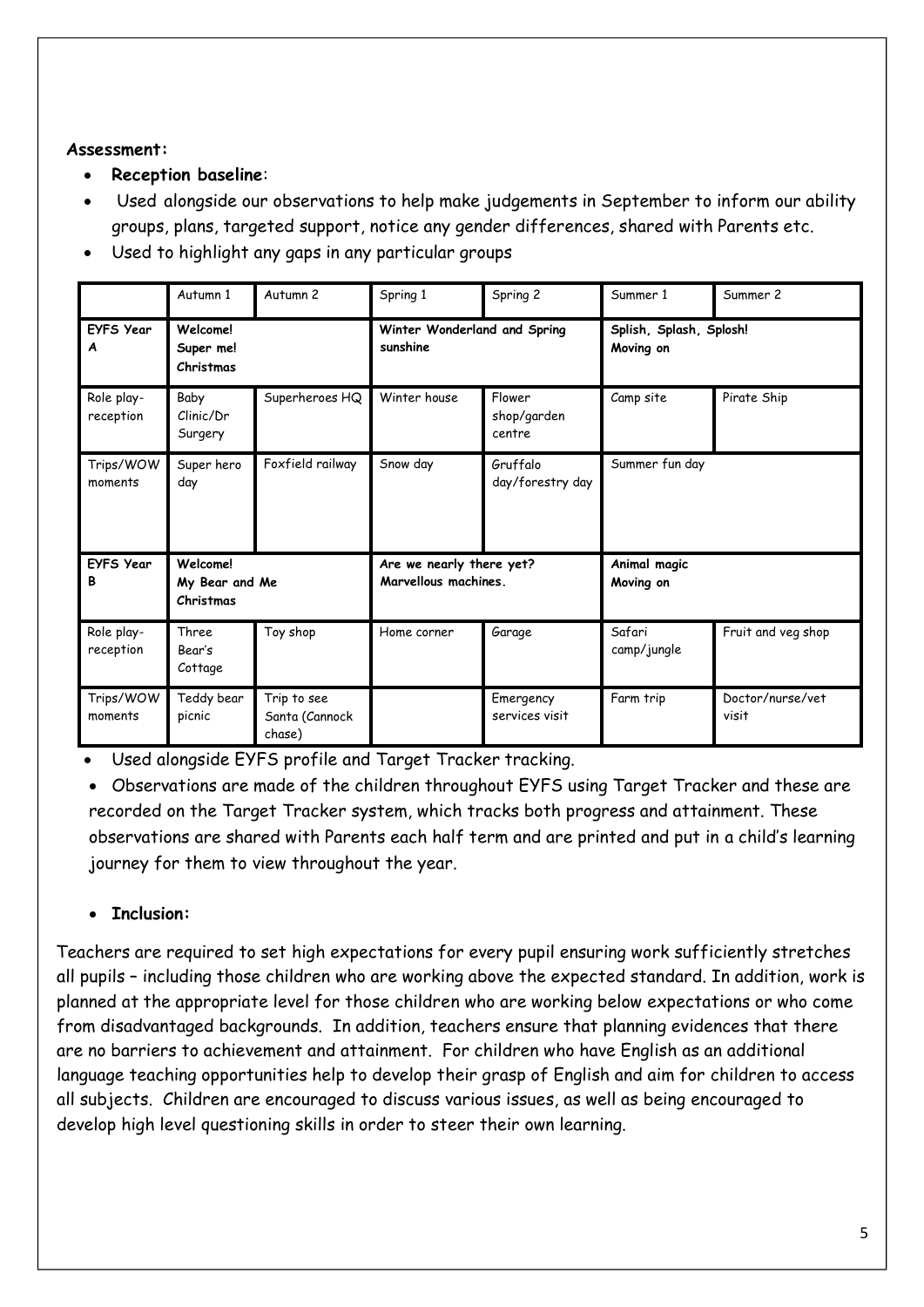### **Assessment:**

- **Reception baseline**:
- Used alongside our observations to help make judgements in September to inform our ability groups, plans, targeted support, notice any gender differences, shared with Parents etc.
- Used to highlight any gaps in any particular groups

|                         | Autumn 1                                       | Autumn <sub>2</sub>                     | Spring 1                                         | Spring 2                        | Summer 1                             | Summer 2                  |
|-------------------------|------------------------------------------------|-----------------------------------------|--------------------------------------------------|---------------------------------|--------------------------------------|---------------------------|
| <b>EYFS Year</b><br>A   | Welcome!<br>Super me!<br>Christmas             |                                         | Winter Wonderland and Spring<br>sunshine         |                                 | Splish, Splash, Splosh!<br>Moving on |                           |
| Role play-<br>reception | Baby<br>Clinic/Dr<br>Surgery                   | Superheroes HQ                          | Winter house                                     | Flower<br>shop/garden<br>centre | Camp site                            | Pirate Ship               |
| Trips/WOW<br>moments    | Super hero<br>day                              | Foxfield railway                        | Snow day                                         | Gruffalo<br>day/forestry day    | Summer fun day                       |                           |
| <b>EYFS Year</b><br>В   | <b>Welcome!</b><br>My Bear and Me<br>Christmas |                                         | Are we nearly there yet?<br>Marvellous machines. |                                 | Animal magic<br>Moving on            |                           |
| Role play-<br>reception | Three<br>Bear's<br>Cottage                     | Toy shop                                | Home corner                                      | Garage                          | Safari<br>camp/jungle                | Fruit and veg shop        |
| Trips/WOW<br>moments    | Teddy bear<br>picnic                           | Trip to see<br>Santa (Cannock<br>chase) |                                                  | Emergency<br>services visit     | Farm trip                            | Doctor/nurse/vet<br>visit |

• Used alongside EYFS profile and Target Tracker tracking.

• Observations are made of the children throughout EYFS using Target Tracker and these are recorded on the Target Tracker system, which tracks both progress and attainment. These observations are shared with Parents each half term and are printed and put in a child's learning journey for them to view throughout the year.

# • **Inclusion:**

Teachers are required to set high expectations for every pupil ensuring work sufficiently stretches all pupils – including those children who are working above the expected standard. In addition, work is planned at the appropriate level for those children who are working below expectations or who come from disadvantaged backgrounds. In addition, teachers ensure that planning evidences that there are no barriers to achievement and attainment. For children who have English as an additional language teaching opportunities help to develop their grasp of English and aim for children to access all subjects. Children are encouraged to discuss various issues, as well as being encouraged to develop high level questioning skills in order to steer their own learning.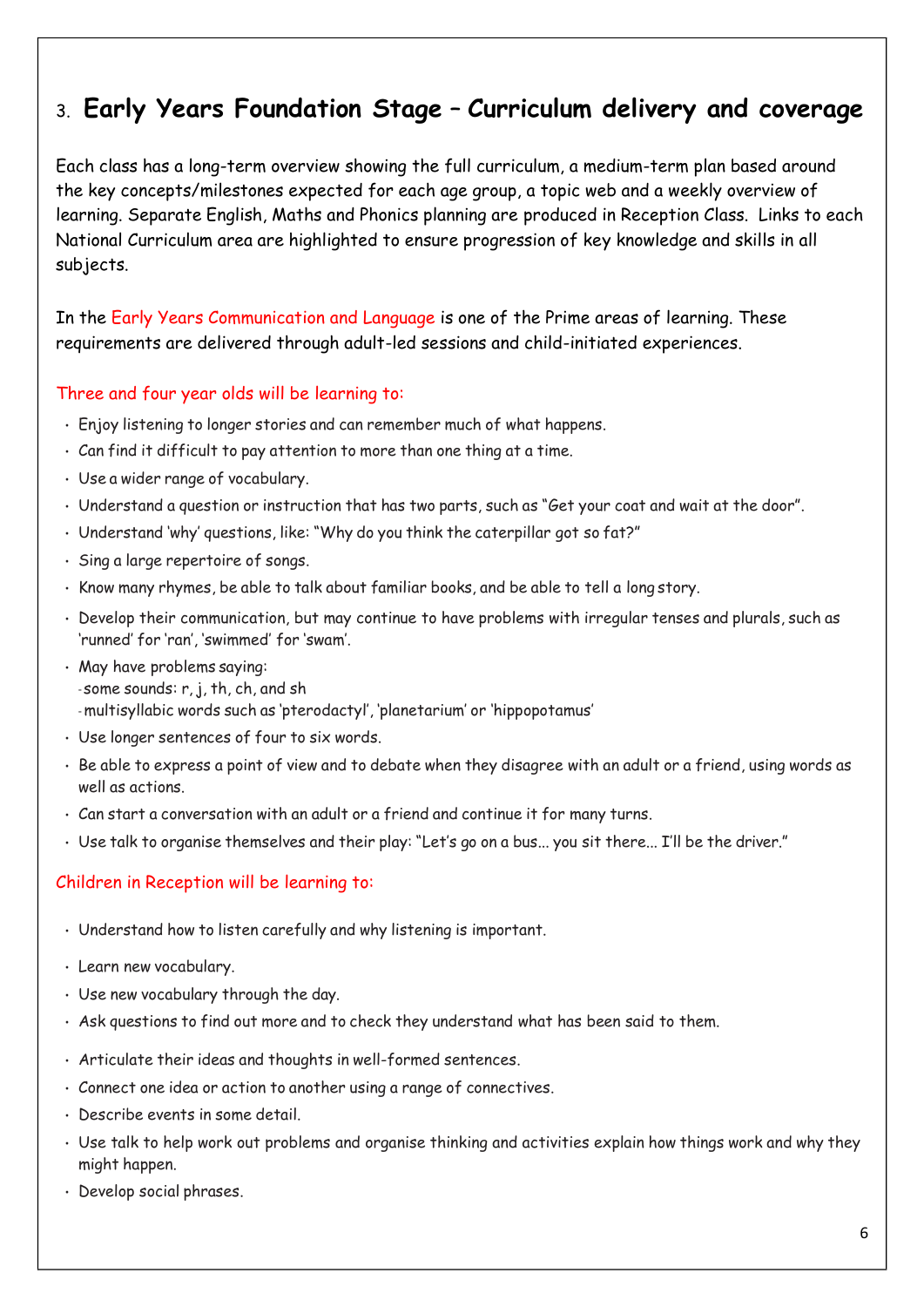# 3. **Early Years Foundation Stage** – **Curriculum delivery and coverage**

Each class has a long-term overview showing the full curriculum, a medium-term plan based around the key concepts/milestones expected for each age group, a topic web and a weekly overview of learning. Separate English, Maths and Phonics planning are produced in Reception Class. Links to each National Curriculum area are highlighted to ensure progression of key knowledge and skills in all subjects.

In the Early Years Communication and Language is one of the Prime areas of learning. These requirements are delivered through adult-led sessions and child-initiated experiences.

# Three and four year olds will be learning to:

- Enjoy listening to longer stories and can remember much of what happens.
- Can find it difficult to pay attention to more than one thing at a time.
- Use a wider range of vocabulary.
- Understand a question or instruction that has two parts, such as "Get your coat and wait at the door".
- Understand 'why' questions, like: "Why do you think the caterpillar got so fat?"
- Sing a large repertoire of songs.
- Know many rhymes, be able to talk about familiar books, and be able to tell a long story.
- Develop their communication, but may continue to have problems with irregular tenses and plurals, such as 'runned' for 'ran', 'swimmed' for 'swam'.
- May have problems saying: - some sounds: r, j, th, ch, and sh - multisyllabic words such as 'pterodactyl', 'planetarium' or 'hippopotamus'
- Use longer sentences of four to six words.
- Be able to express a point of view and to debate when they disagree with an adult or a friend, using words as well as actions.
- Can start a conversation with an adult or a friend and continue it for many turns.
- Use talk to organise themselves and their play: "Let's go on a bus... you sit there... I'll be the driver."

# Children in Reception will be learning to:

- Understand how to listen carefully and why listening is important.
- Learn new vocabulary.
- Use new vocabulary through the day.
- Ask questions to find out more and to check they understand what has been said to them.
- Articulate their ideas and thoughts in well-formed sentences.
- Connect one idea or action to another using a range of connectives.
- Describe events in some detail.
- Use talk to help work out problems and organise thinking and activities explain how things work and why they might happen.
- Develop social phrases.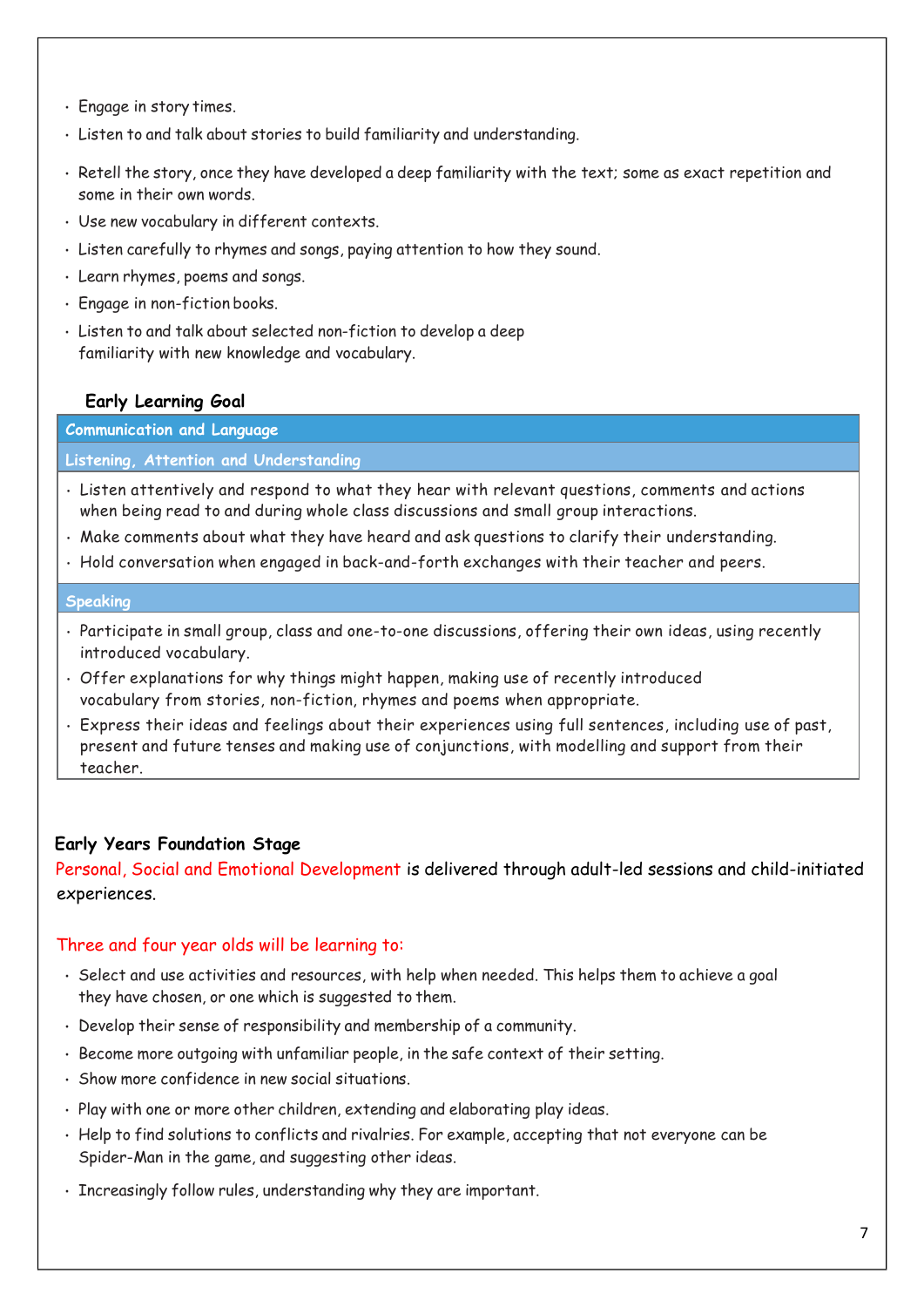- Engage in story times.
- Listen to and talk about stories to build familiarity and understanding.
- Retell the story, once they have developed a deep familiarity with the text; some as exact repetition and some in their own words.
- Use new vocabulary in different contexts.
- Listen carefully to rhymes and songs, paying attention to how they sound.
- Learn rhymes, poems and songs.
- Engage in non-fiction books.
- Listen to and talk about selected non-fiction to develop a deep familiarity with new knowledge and vocabulary.

#### **Early Learning Goal**

**Communication and Language**

#### **Listening, Attention and Understanding**

- Listen attentively and respond to what they hear with relevant questions, comments and actions when being read to and during whole class discussions and small group interactions.
- Make comments about what they have heard and ask questions to clarify their understanding.
- Hold conversation when engaged in back-and-forth exchanges with their teacher and peers.

#### **Speaking**

- Participate in small group, class and one-to-one discussions, offering their own ideas, using recently introduced vocabulary.
- Offer explanations for why things might happen, making use of recently introduced vocabulary from stories, non-fiction, rhymes and poems when appropriate.
- Express their ideas and feelings about their experiences using full sentences, including use of past, present and future tenses and making use of conjunctions, with modelling and support from their teacher.

#### **Early Years Foundation Stage**

Personal, Social and Emotional Development is delivered through adult-led sessions and child-initiated experiences.

#### Three and four year olds will be learning to:

- Select and use activities and resources, with help when needed. This helps them to achieve a goal they have chosen, or one which is suggested to them.
- Develop their sense of responsibility and membership of a community.
- Become more outgoing with unfamiliar people, in the safe context of their setting.
- Show more confidence in new social situations.
- Play with one or more other children, extending and elaborating play ideas.
- Help to find solutions to conflicts and rivalries. For example, accepting that not everyone can be Spider-Man in the game, and suggesting other ideas.
- Increasingly follow rules, understanding why they are important.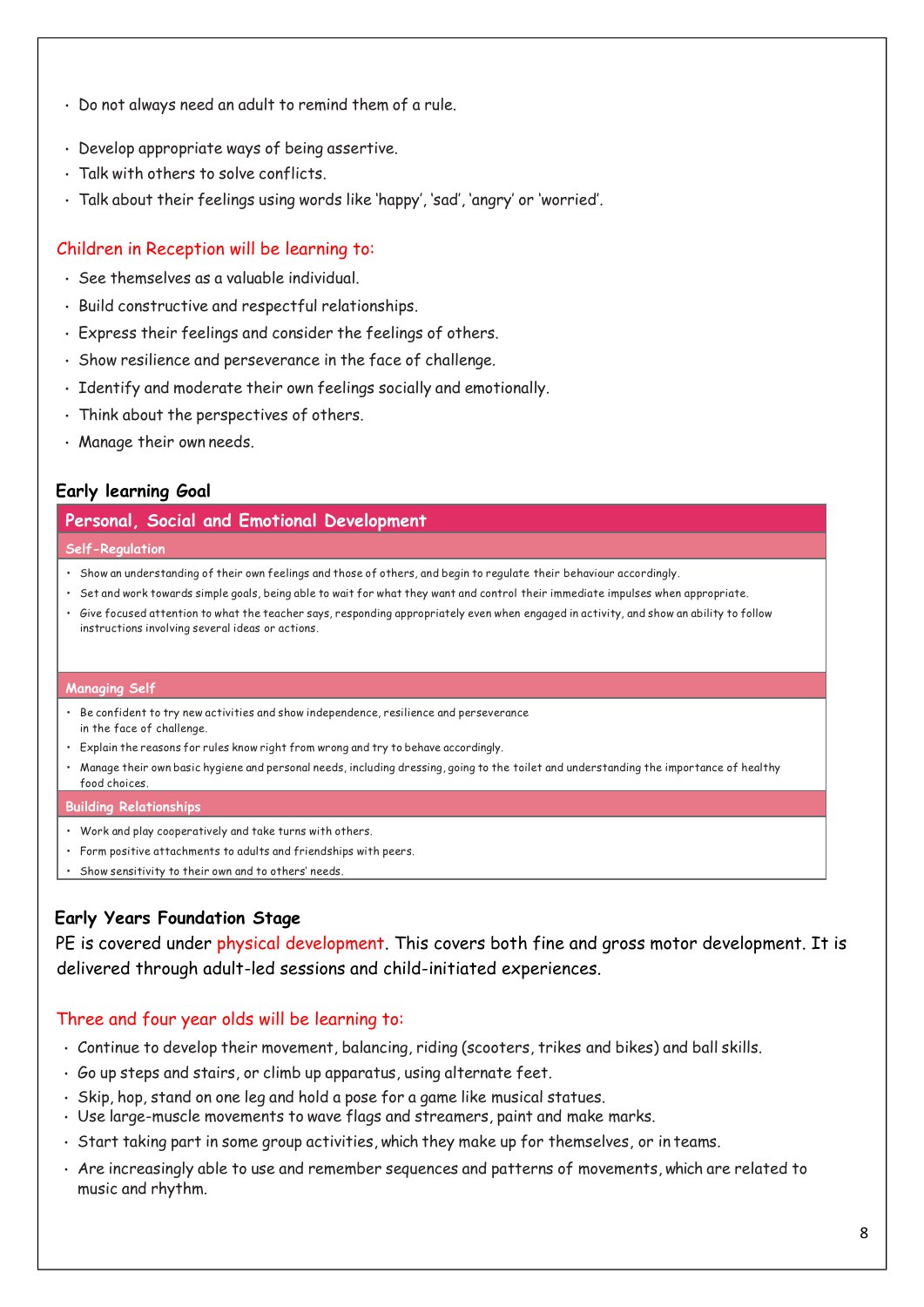- Do not always need an adult to remind them of a rule.
- Develop appropriate ways of being assertive.
- Talk with others to solve conflicts.
- Talk about their feelings using words like 'happy', 'sad', 'angry' or 'worried'.

#### Children in Reception will be learning to:

- See themselves as a valuable individual.
- Build constructive and respectful relationships.
- Express their feelings and consider the feelings of others.
- Show resilience and perseverance in the face of challenge.
- Identify and moderate their own feelings socially and emotionally.
- Think about the perspectives of others.
- Manage their own needs.

#### **Early learning Goal**

#### **Personal, Social and Emotional Development**

#### **Self-Regulation**

- Show an understanding of their own feelings and those of others, and begin to regulate their behaviour accordingly.
- Set and work towards simple goals, being able to wait for what they want and control their immediate impulses when appropriate.
- Give focused attention to what the teacher says, responding appropriately even when engaged in activity, and show an ability to follow instructions involving several ideas or actions.

#### **Managing Self**

- Be confident to try new activities and show independence, resilience and perseverance in the face of challenge.
- Explain the reasons for rules know right from wrong and try to behave accordingly.
- Manage their own basic hygiene and personal needs, including dressing, going to the toilet and understanding the importance of healthy food choices.

#### **Building Relationships**

- Work and play cooperatively and take turns with others.
- Form positive attachments to adults and friendships with peers.
- Show sensitivity to their own and to others' needs.

### **Early Years Foundation Stage**

PE is covered under physical development. This covers both fine and gross motor development. It is delivered through adult-led sessions and child-initiated experiences.

### Three and four year olds will be learning to:

- Continue to develop their movement, balancing, riding (scooters, trikes and bikes) and ball skills.
- Go up steps and stairs, or climb up apparatus, using alternate feet.
- Skip, hop, stand on one leg and hold a pose for a game like musical statues.
- Use large-muscle movements to wave flags and streamers, paint and make marks.
- Start taking part in some group activities, which they make up for themselves, or in teams.
- Are increasingly able to use and remember sequences and patterns of movements, which are related to music and rhythm.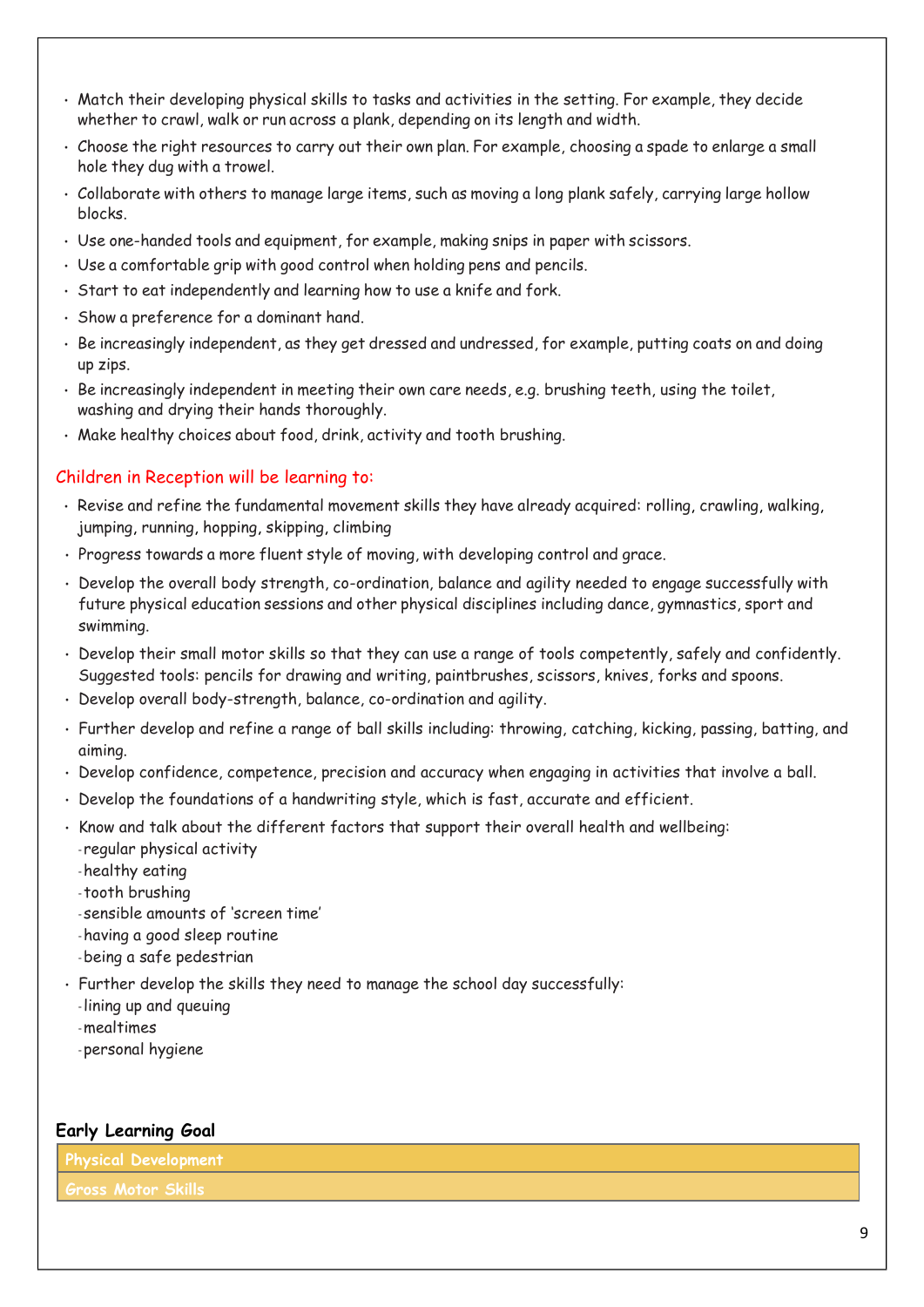- Match their developing physical skills to tasks and activities in the setting. For example, they decide whether to crawl, walk or run across a plank, depending on its length and width.
- Choose the right resources to carry out their own plan. For example, choosing a spade to enlarge a small hole they dug with a trowel.
- Collaborate with others to manage large items, such as moving a long plank safely, carrying large hollow blocks.
- Use one-handed tools and equipment, for example, making snips in paper with scissors.
- Use a comfortable grip with good control when holding pens and pencils.
- Start to eat independently and learning how to use a knife and fork.
- Show a preference for a dominant hand.
- Be increasingly independent, as they get dressed and undressed, for example, putting coats on and doing up zips.
- Be increasingly independent in meeting their own care needs, e.g. brushing teeth, using the toilet, washing and drying their hands thoroughly.
- Make healthy choices about food, drink, activity and tooth brushing.

### Children in Reception will be learning to:

- Revise and refine the fundamental movement skills they have already acquired: rolling, crawling, walking, jumping, running, hopping, skipping, climbing
- Progress towards a more fluent style of moving, with developing control and grace.
- Develop the overall body strength, co-ordination, balance and agility needed to engage successfully with future physical education sessions and other physical disciplines including dance, gymnastics, sport and swimming.
- Develop their small motor skills so that they can use a range of tools competently, safely and confidently. Suggested tools: pencils for drawing and writing, paintbrushes, scissors, knives, forks and spoons.
- Develop overall body-strength, balance, co-ordination and agility.
- Further develop and refine a range of ball skills including: throwing, catching, kicking, passing, batting, and aiming.
- Develop confidence, competence, precision and accuracy when engaging in activities that involve a ball.
- Develop the foundations of a handwriting style, which is fast, accurate and efficient.
- Know and talk about the different factors that support their overall health and wellbeing:
	- regular physical activity
	- -healthy eating
	- tooth brushing
	- sensible amounts of 'screen time'
	- -having a good sleep routine
	- -being a safe pedestrian
- Further develop the skills they need to manage the school day successfully:
	- lining up and queuing
	- -mealtimes
	- personal hygiene

#### **Early Learning Goal**

**Physical Development**

**Gross Motor Skills**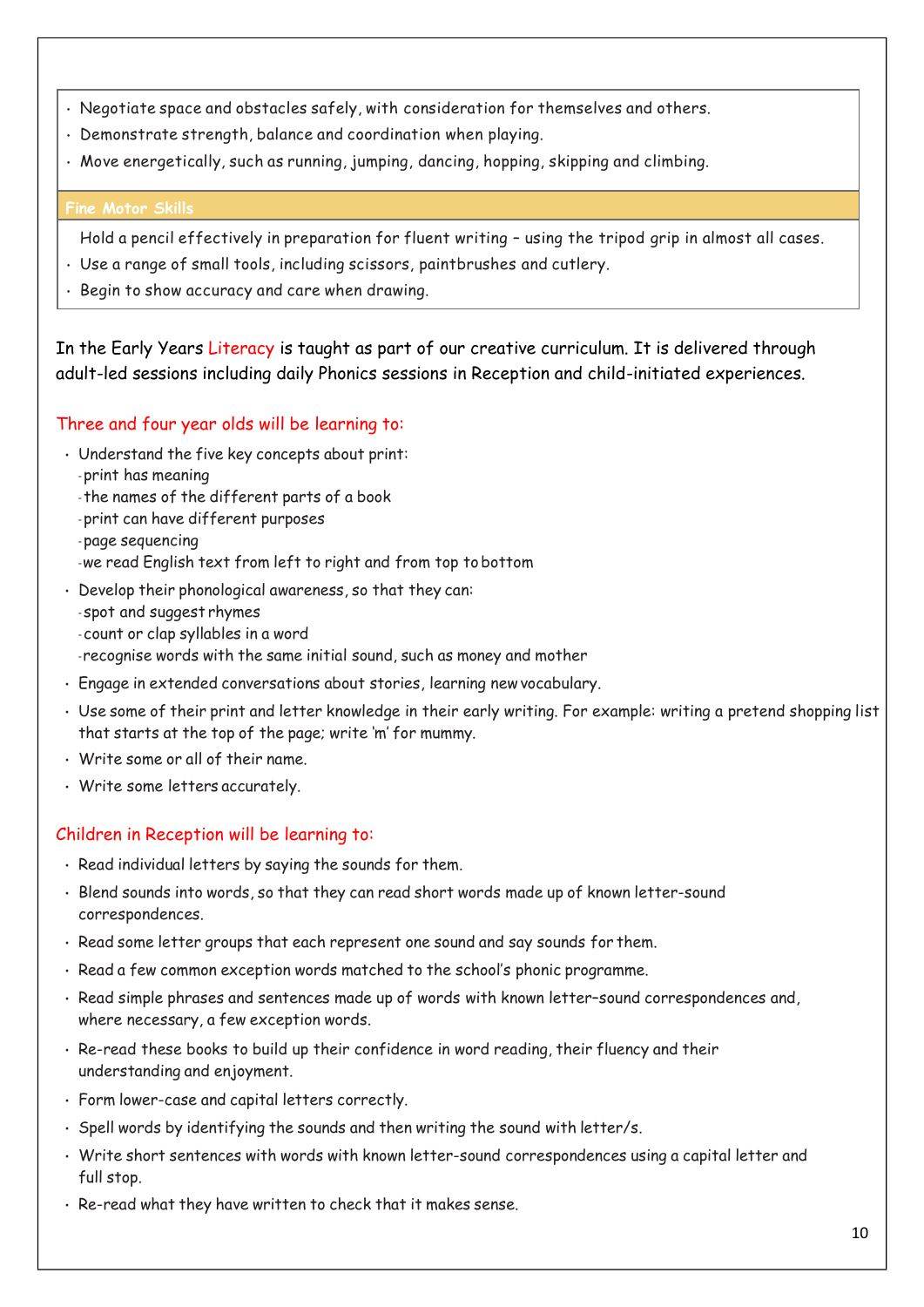- Negotiate space and obstacles safely, with consideration for themselves and others.
- Demonstrate strength, balance and coordination when playing.
- Move energetically, such as running, jumping, dancing, hopping, skipping and climbing.

### **Fine Motor Skills**

Hold a pencil effectively in preparation for fluent writing – using the tripod grip in almost all cases.

- Use a range of small tools, including scissors, paintbrushes and cutlery.
- Begin to show accuracy and care when drawing.

In the Early Years Literacy is taught as part of our creative curriculum. It is delivered through adult-led sessions including daily Phonics sessions in Reception and child-initiated experiences.

# Three and four year olds will be learning to:

- Understand the five key concepts about print:
	- print has meaning
	- the names of the different parts of a book
	- print can have different purposes
	- page sequencing
	- -we read English text from left to right and from top to bottom
- Develop their phonological awareness, so that they can:
	- spot and suggest rhymes
	- count or clap syllables in a word
	- -recognise words with the same initial sound, such as money and mother
- Engage in extended conversations about stories, learning newvocabulary.
- Use some of their print and letter knowledge in their early writing. For example: writing a pretend shopping list that starts at the top of the page; write 'm' for mummy.
- Write some or all of their name.
- Write some letters accurately.

# Children in Reception will be learning to:

- Read individual letters by saying the sounds for them.
- Blend sounds into words, so that they can read short words made up of known letter-sound correspondences.
- Read some letter groups that each represent one sound and say sounds for them.
- Read a few common exception words matched to the school's phonic programme.
- Read simple phrases and sentences made up of words with known letter–sound correspondences and, where necessary, a few exception words.
- Re-read these books to build up their confidence in word reading, their fluency and their understanding and enjoyment.
- Form lower-case and capital letters correctly.
- Spell words by identifying the sounds and then writing the sound with letter/s.
- Write short sentences with words with known letter-sound correspondences using a capital letter and full stop.
- Re-read what they have written to check that it makes sense.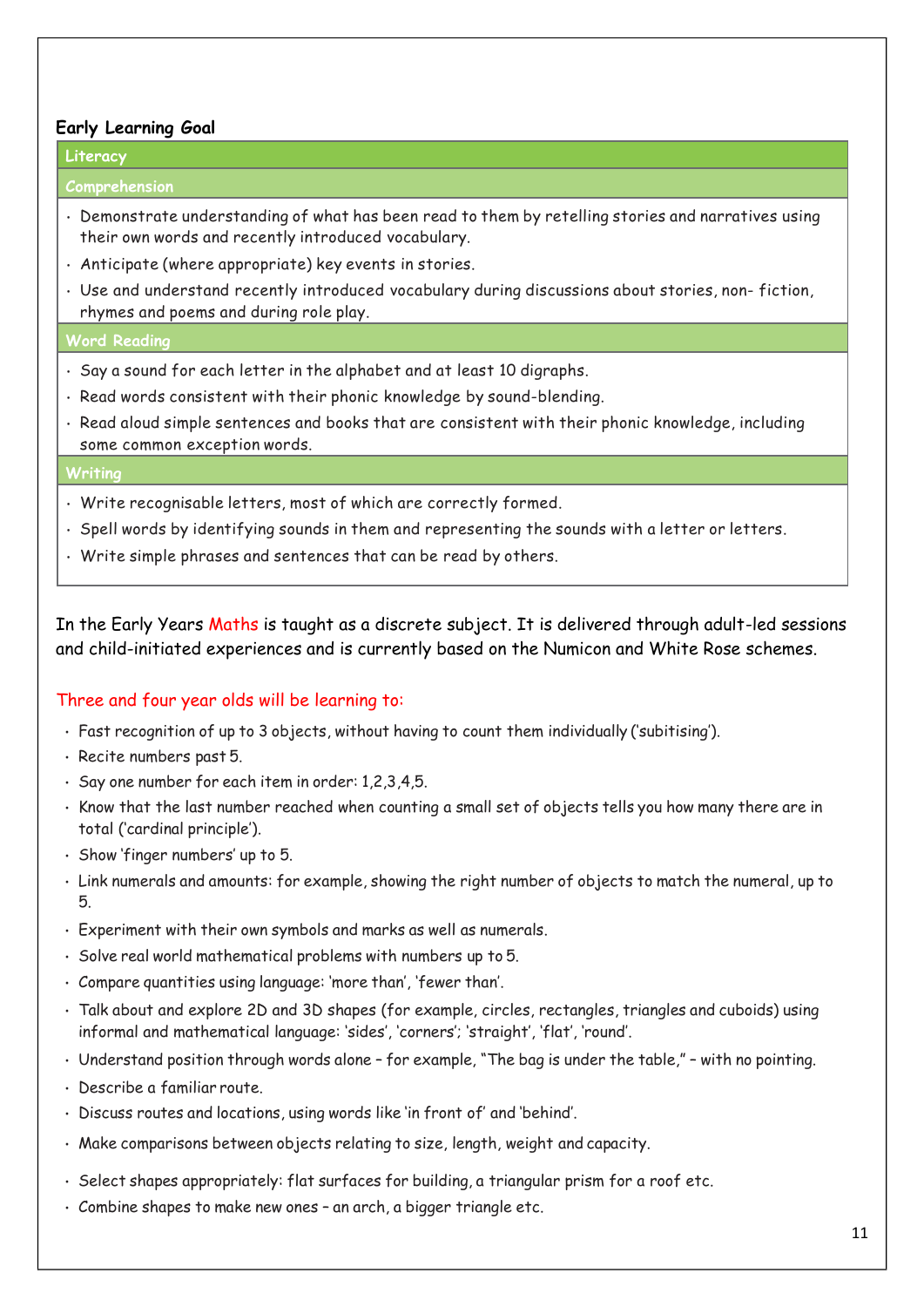#### **Early Learning Goal**

#### **Literacy**

#### **Comprehension**

- Demonstrate understanding of what has been read to them by retelling stories and narratives using their own words and recently introduced vocabulary.
- Anticipate (where appropriate) key events in stories.
- Use and understand recently introduced vocabulary during discussions about stories, non- fiction, rhymes and poems and during role play.

#### **Word Reading**

- Say a sound for each letter in the alphabet and at least 10 digraphs.
- Read words consistent with their phonic knowledge by sound-blending.
- Read aloud simple sentences and books that are consistent with their phonic knowledge, including some common exception words.

#### **Writing**

- Write recognisable letters, most of which are correctly formed.
- Spell words by identifying sounds in them and representing the sounds with a letter or letters.
- Write simple phrases and sentences that can be read by others.

In the Early Years Maths is taught as a discrete subject. It is delivered through adult-led sessions and child-initiated experiences and is currently based on the Numicon and White Rose schemes.

### Three and four year olds will be learning to:

- Fast recognition of up to 3 objects, without having to count them individually ('subitising').
- Recite numbers past 5.
- Say one number for each item in order: 1,2,3,4,5.
- Know that the last number reached when counting a small set of objects tells you how many there are in total ('cardinal principle').
- Show 'finger numbers' up to 5.
- Link numerals and amounts: for example, showing the right number of objects to match the numeral, up to 5.
- Experiment with their own symbols and marks as well as numerals.
- Solve real world mathematical problems with numbers up to 5.
- Compare quantities using language: 'more than', 'fewer than'.
- Talk about and explore 2D and 3D shapes (for example, circles, rectangles, triangles and cuboids) using informal and mathematical language: 'sides', 'corners'; 'straight', 'flat', 'round'.
- Understand position through words alone for example, "The bag is under the table," with no pointing.
- Describe a familiar route.
- Discuss routes and locations, using words like 'in front of' and 'behind'.
- Make comparisons between objects relating to size, length, weight and capacity.
- Select shapes appropriately: flat surfaces for building, a triangular prism for a roof etc.
- Combine shapes to make new ones an arch, a bigger triangle etc.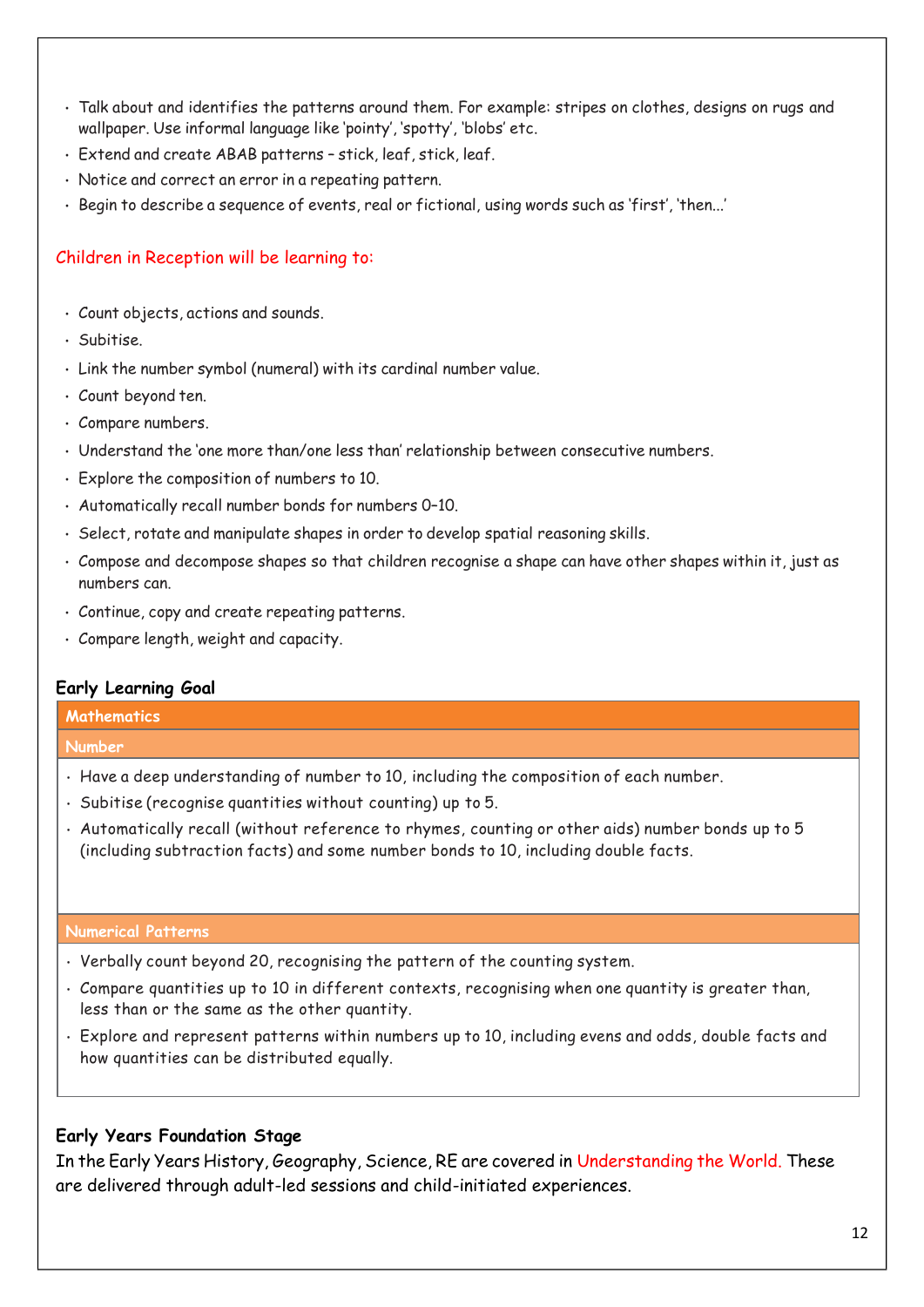- Talk about and identifies the patterns around them. For example: stripes on clothes, designs on rugs and wallpaper. Use informal language like 'pointy', 'spotty', 'blobs' etc.
- Extend and create ABAB patterns stick, leaf, stick, leaf.
- Notice and correct an error in a repeating pattern.
- Begin to describe a sequence of events, real or fictional, using words such as 'first', 'then...'

# Children in Reception will be learning to:

- Count objects, actions and sounds.
- Subitise.
- Link the number symbol (numeral) with its cardinal number value.
- Count beyond ten.
- Compare numbers.
- Understand the 'one more than/one less than' relationship between consecutive numbers.
- Explore the composition of numbers to 10.
- Automatically recall number bonds for numbers 0–10.
- Select, rotate and manipulate shapes in order to develop spatial reasoning skills.
- Compose and decompose shapes so that children recognise a shape can have other shapes within it, just as numbers can.
- Continue, copy and create repeating patterns.
- Compare length, weight and capacity.

### **Early Learning Goal**

#### **Mathematics**

#### **Number**

- Have a deep understanding of number to 10, including the composition of each number.
- Subitise (recognise quantities without counting) up to 5.
- Automatically recall (without reference to rhymes, counting or other aids) number bonds up to 5 (including subtraction facts) and some number bonds to 10, including double facts.

#### **Numerical Patterns**

- Verbally count beyond 20, recognising the pattern of the counting system.
- Compare quantities up to 10 in different contexts, recognising when one quantity is greater than, less than or the same as the other quantity.
- Explore and represent patterns within numbers up to 10, including evens and odds, double facts and how quantities can be distributed equally.

### **Early Years Foundation Stage**

In the Early Years History, Geography, Science, RE are covered in Understanding the World. These are delivered through adult-led sessions and child-initiated experiences.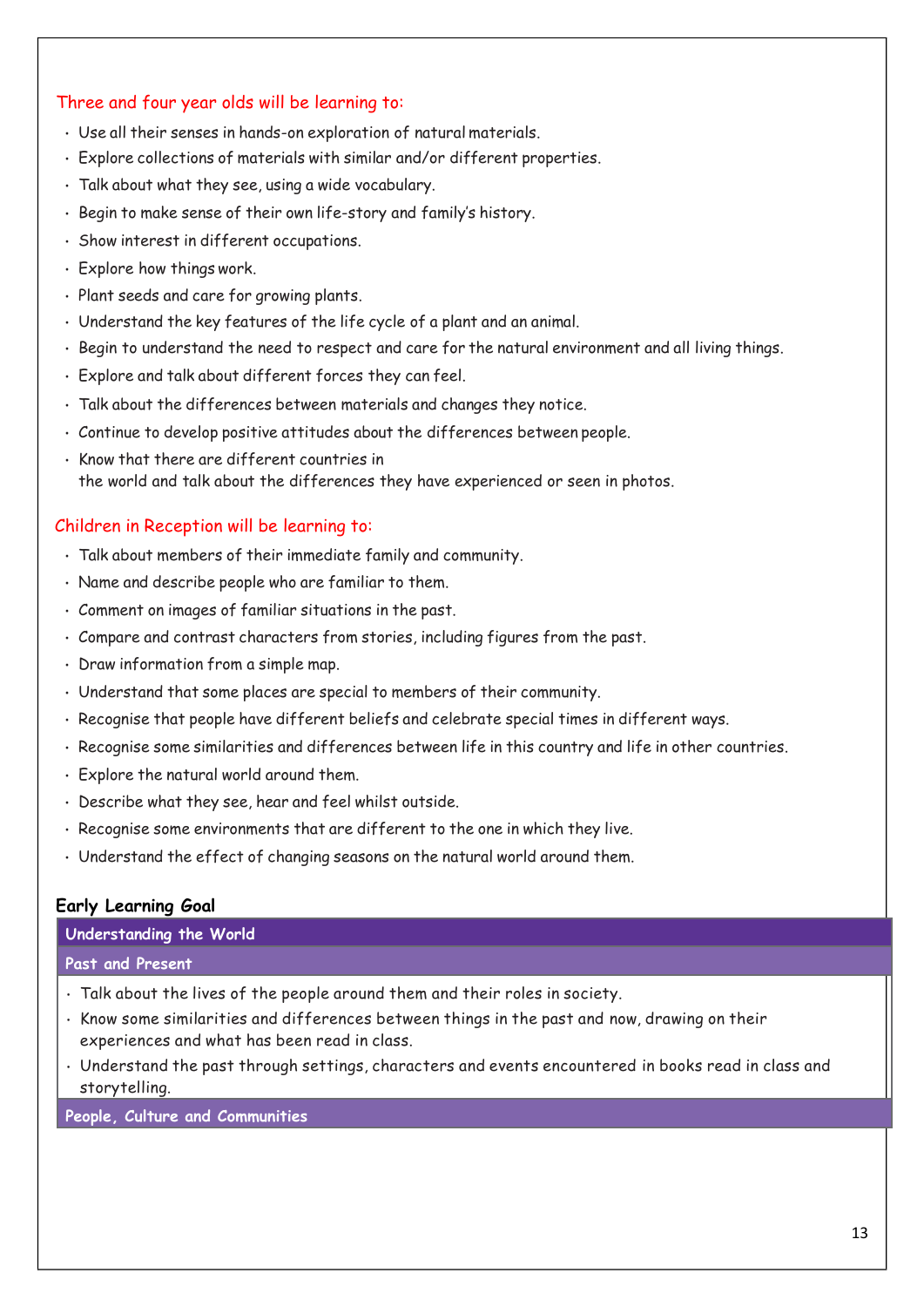# Three and four year olds will be learning to:

- Use all their senses in hands-on exploration of natural materials.
- Explore collections of materials with similar and/or different properties.
- Talk about what they see, using a wide vocabulary.
- Begin to make sense of their own life-story and family's history.
- Show interest in different occupations.
- Explore how things work.
- Plant seeds and care for growing plants.
- Understand the key features of the life cycle of a plant and an animal.
- Begin to understand the need to respect and care for the natural environment and all living things.
- Explore and talk about different forces they can feel.
- Talk about the differences between materials and changes they notice.
- Continue to develop positive attitudes about the differences between people.
- Know that there are different countries in the world and talk about the differences they have experienced or seen in photos.

#### Children in Reception will be learning to:

- Talk about members of their immediate family and community.
- Name and describe people who are familiar to them.
- Comment on images of familiar situations in the past.
- Compare and contrast characters from stories, including figures from the past.
- Draw information from a simple map.
- Understand that some places are special to members of their community.
- Recognise that people have different beliefs and celebrate special times in different ways.
- Recognise some similarities and differences between life in this country and life in other countries.
- Explore the natural world around them.
- Describe what they see, hear and feel whilst outside.
- Recognise some environments that are different to the one in which they live.
- Understand the effect of changing seasons on the natural world around them.

### **Early Learning Goal**

#### **Understanding the World**

#### **Past and Present**

- Talk about the lives of the people around them and their roles in society.
- Know some similarities and differences between things in the past and now, drawing on their experiences and what has been read in class.
- Understand the past through settings, characters and events encountered in books read in class and storytelling.

**People, Culture and Communities**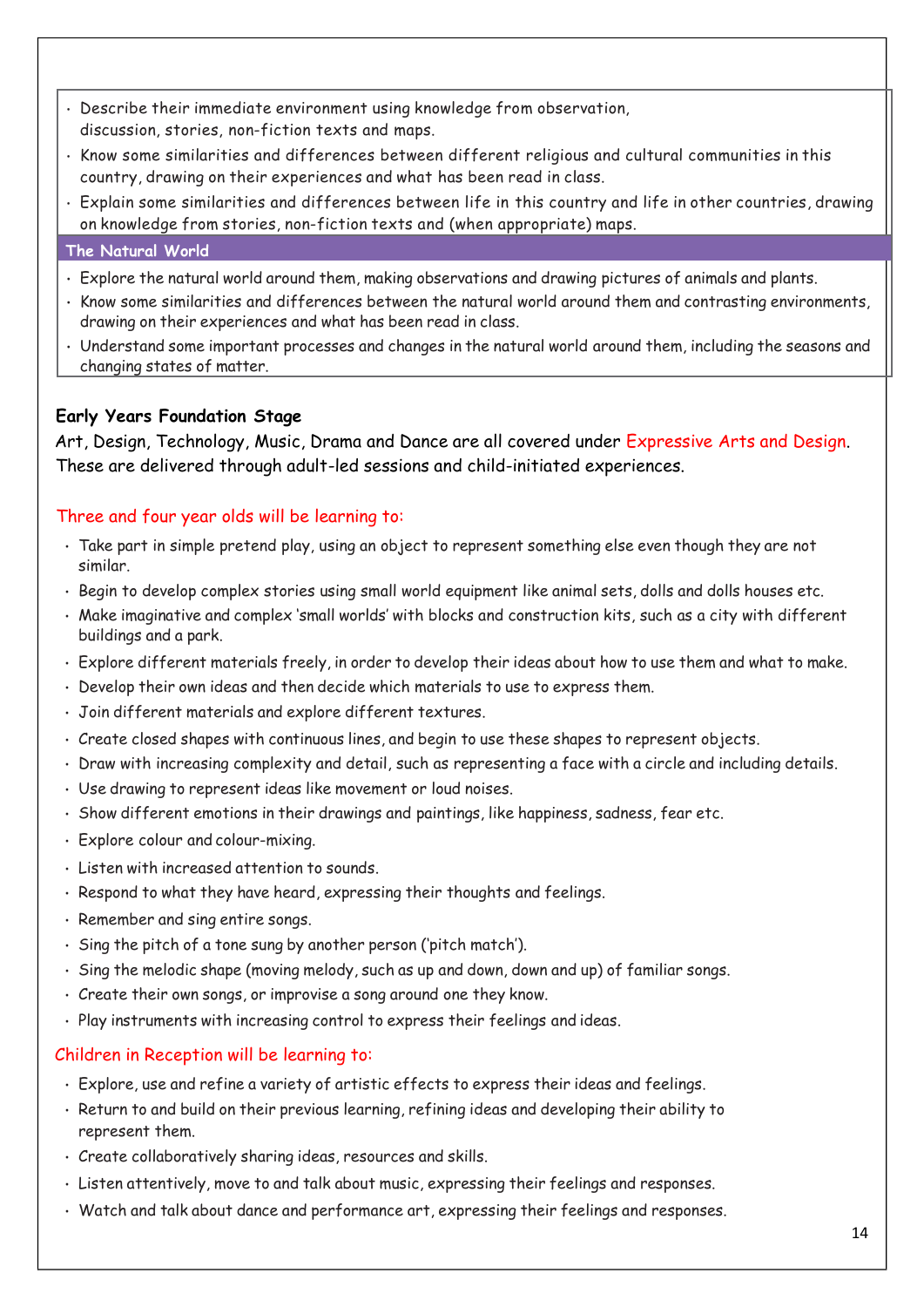- Describe their immediate environment using knowledge from observation, discussion, stories, non-fiction texts and maps.
- Know some similarities and differences between different religious and cultural communities in this country, drawing on their experiences and what has been read in class.
- Explain some similarities and differences between life in this country and life in other countries, drawing on knowledge from stories, non-fiction texts and (when appropriate) maps.

#### **The Natural World**

- Explore the natural world around them, making observations and drawing pictures of animals and plants.
- Know some similarities and differences between the natural world around them and contrasting environments, drawing on their experiences and what has been read in class.
- Understand some important processes and changes in the natural world around them, including the seasons and changing states of matter.

# **Early Years Foundation Stage**

Art, Design, Technology, Music, Drama and Dance are all covered under Expressive Arts and Design. These are delivered through adult-led sessions and child-initiated experiences.

# Three and four year olds will be learning to:

- Take part in simple pretend play, using an object to represent something else even though they are not similar.
- Begin to develop complex stories using small world equipment like animal sets, dolls and dolls houses etc.
- Make imaginative and complex 'small worlds' with blocks and construction kits, such as a city with different buildings and a park.
- Explore different materials freely, in order to develop their ideas about how to use them and what to make.
- Develop their own ideas and then decide which materials to use to express them.
- Join different materials and explore different textures.
- Create closed shapes with continuous lines, and begin to use these shapes to represent objects.
- Draw with increasing complexity and detail, such as representing a face with a circle and including details.
- Use drawing to represent ideas like movement or loud noises.
- Show different emotions in their drawings and paintings, like happiness, sadness, fear etc.
- Explore colour and colour-mixing.
- Listen with increased attention to sounds.
- Respond to what they have heard, expressing their thoughts and feelings.
- Remember and sing entire songs.
- Sing the pitch of a tone sung by another person ('pitch match').
- Sing the melodic shape (moving melody, such as up and down, down and up) of familiar songs.
- Create their own songs, or improvise a song around one they know.
- Play instruments with increasing control to express their feelings and ideas.

### Children in Reception will be learning to:

- Explore, use and refine a variety of artistic effects to express their ideas and feelings.
- Return to and build on their previous learning, refining ideas and developing their ability to represent them.
- Create collaboratively sharing ideas, resources and skills.
- Listen attentively, move to and talk about music, expressing their feelings and responses.
- Watch and talk about dance and performance art, expressing their feelings and responses.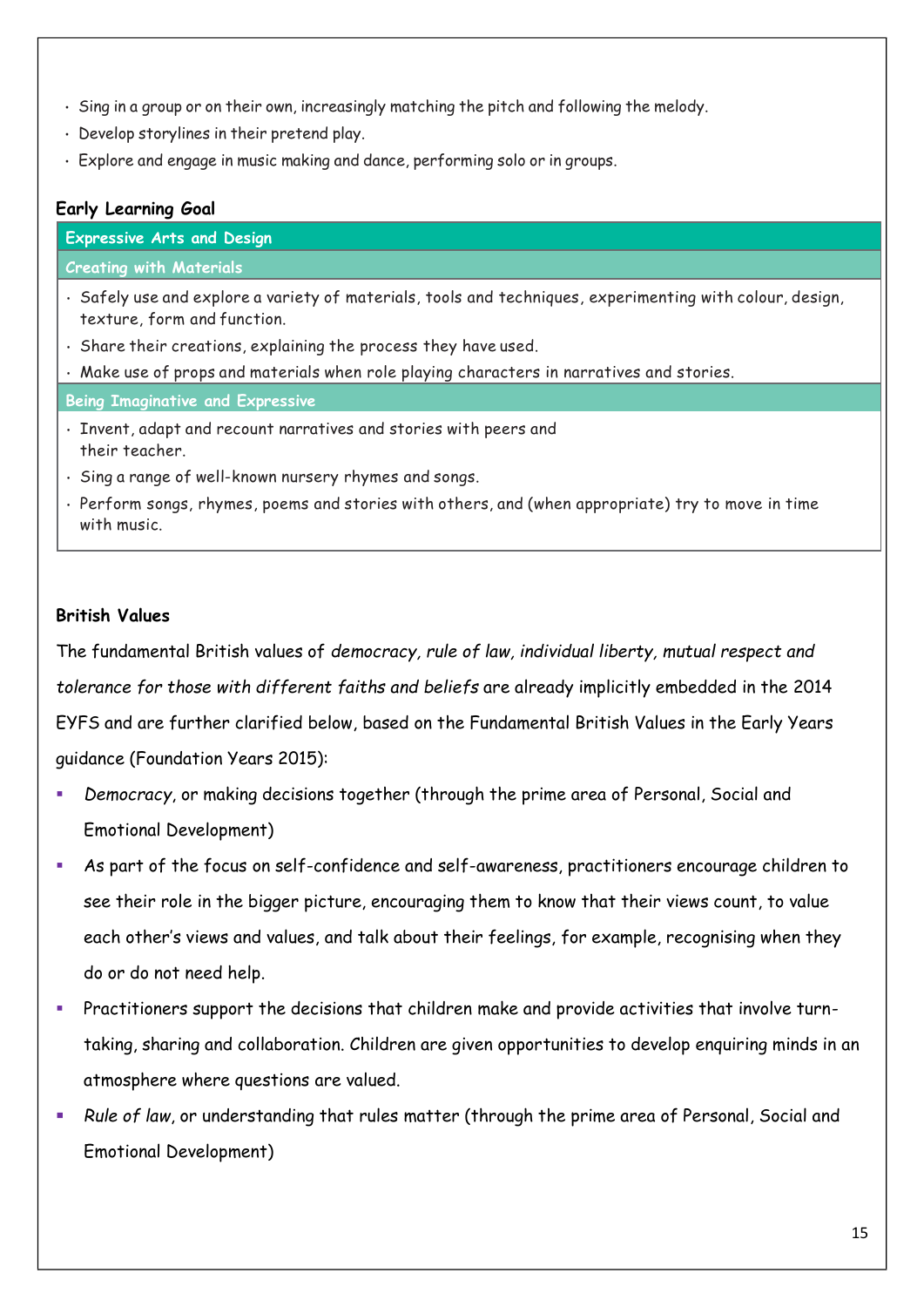- Sing in a group or on their own, increasingly matching the pitch and following the melody.
- Develop storylines in their pretend play.
- Explore and engage in music making and dance, performing solo or in groups.

# **Early Learning Goal**

| <b>Expressive Arts and Design</b>                                                                                                        |
|------------------------------------------------------------------------------------------------------------------------------------------|
| <b>Creating with Materials</b>                                                                                                           |
| . Safely use and explore a variety of materials, tools and techniques, experimenting with colour, design,<br>texture, form and function. |
| · Share their creations, explaining the process they have used.                                                                          |
| . Make use of props and materials when role playing characters in narratives and stories.                                                |
| <b>Being Imaginative and Expressive</b>                                                                                                  |
| · Invent, adapt and recount narratives and stories with peers and<br>their teacher.                                                      |
| · Sing a range of well-known nursery rhymes and songs.                                                                                   |
| · Perform songs, rhymes, poems and stories with others, and (when appropriate) try to move in time<br>with music.                        |
|                                                                                                                                          |
|                                                                                                                                          |

# **British Values**

The fundamental British values of *democracy, rule of law, individual liberty, mutual respect and tolerance for those with different faiths and beliefs* are already implicitly embedded in the 2014 EYFS and are further clarified below, based on the Fundamental British Values in the Early Years guidance (Foundation Years 2015):

- Democracy, or making decisions together (through the prime area of Personal, Social and Emotional Development)
- As part of the focus on self-confidence and self-awareness, practitioners encourage children to see their role in the bigger picture, encouraging them to know that their views count, to value each other's views and values, and talk about their feelings, for example, recognising when they do or do not need help.
- Practitioners support the decisions that children make and provide activities that involve turntaking, sharing and collaboration. Children are given opportunities to develop enquiring minds in an atmosphere where questions are valued.
- Rule of law, or understanding that rules matter (through the prime area of Personal, Social and Emotional Development)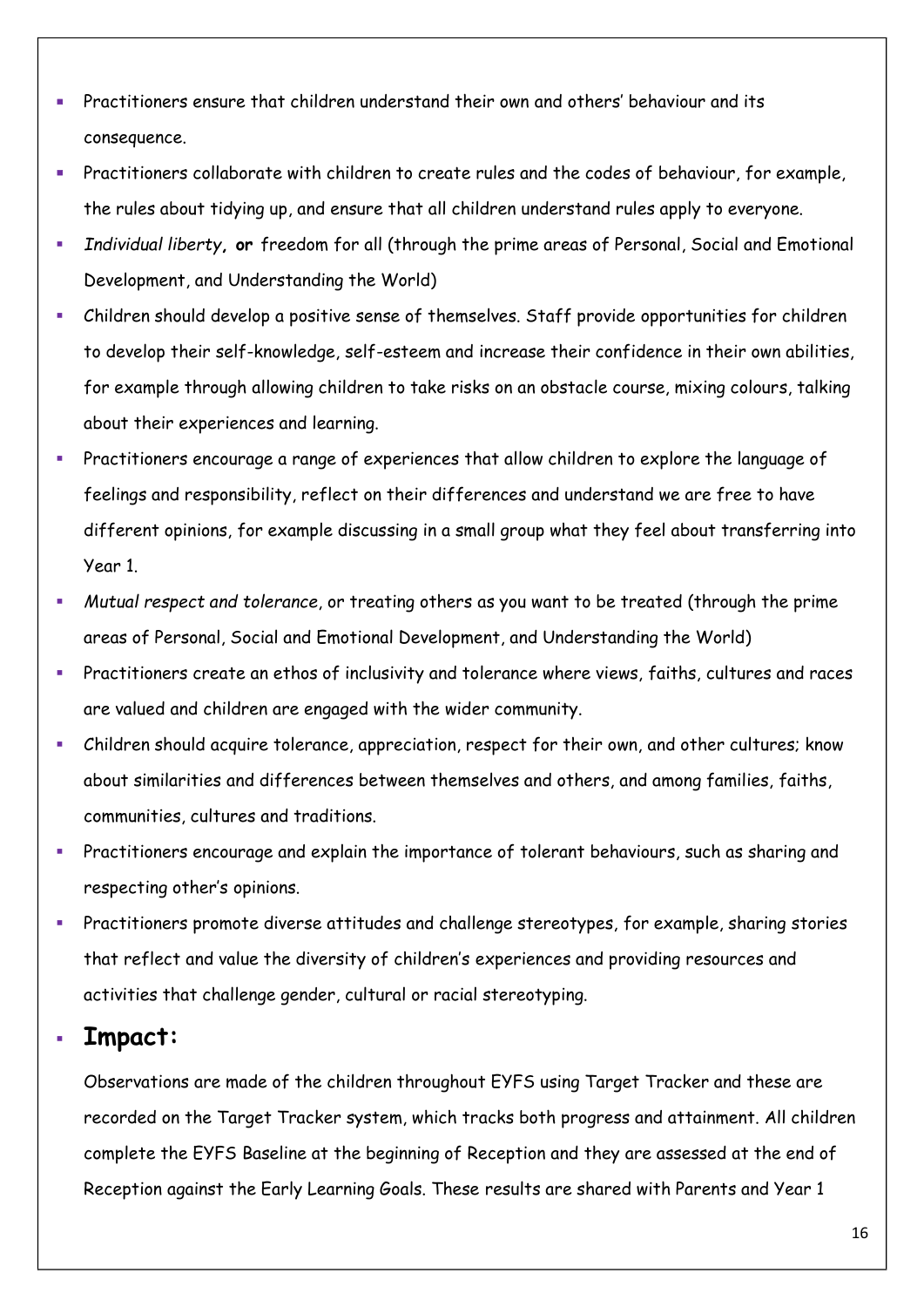- Practitioners ensure that children understand their own and others' behaviour and its consequence.
- **EXECT** Practitioners collaborate with children to create rules and the codes of behaviour, for example, the rules about tidying up, and ensure that all children understand rules apply to everyone.
- *Individual liberty***, or** freedom for all (through the prime areas of Personal, Social and Emotional Development, and Understanding the World)
- Children should develop a positive sense of themselves. Staff provide opportunities for children to develop their self-knowledge, self-esteem and increase their confidence in their own abilities, for example through allowing children to take risks on an obstacle course, mixing colours, talking about their experiences and learning.
- Practitioners encourage a range of experiences that allow children to explore the language of feelings and responsibility, reflect on their differences and understand we are free to have different opinions, for example discussing in a small group what they feel about transferring into Year 1.
- *Mutual respect and tolerance*, or treating others as you want to be treated (through the prime areas of Personal, Social and Emotional Development, and Understanding the World)
- Practitioners create an ethos of inclusivity and tolerance where views, faiths, cultures and races are valued and children are engaged with the wider community.
- Children should acquire tolerance, appreciation, respect for their own, and other cultures; know about similarities and differences between themselves and others, and among families, faiths, communities, cultures and traditions.
- Practitioners encourage and explain the importance of tolerant behaviours, such as sharing and respecting other's opinions.
- Practitioners promote diverse attitudes and challenge stereotypes, for example, sharing stories that reflect and value the diversity of children's experiences and providing resources and activities that challenge gender, cultural or racial stereotyping.

# ▪ **Impact:**

Observations are made of the children throughout EYFS using Target Tracker and these are recorded on the Target Tracker system, which tracks both progress and attainment. All children complete the EYFS Baseline at the beginning of Reception and they are assessed at the end of Reception against the Early Learning Goals. These results are shared with Parents and Year 1